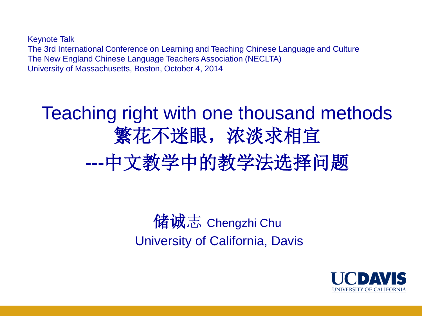Keynote Talk The 3rd International Conference on Learning and Teaching Chinese Language and Culture The New England Chinese Language Teachers Association (NECLTA) University of Massachusetts, Boston, October 4, 2014

# Teaching right with one thousand methods 繁花不迷眼,浓淡求相宜 **---**中文教学中的教学法选择问题

## 储诚志 Chengzhi Chu University of California, Davis

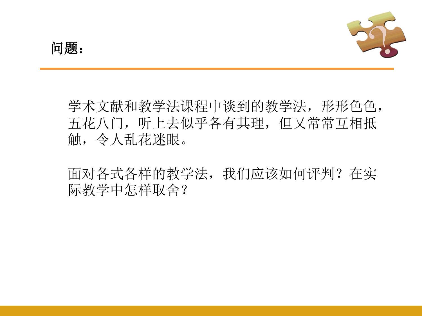

学术文献和教学法课程中谈到的教学法,形形色色, 五花八门,听上去似乎各有其理,但又常常互相抵 触,令人乱花迷眼。

面对各式各样的教学法,我们应该如何评判?在实 际教学中怎样取舍?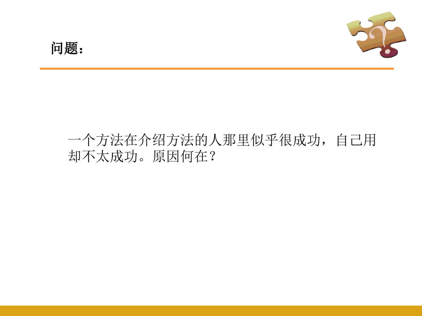## 一个方法在介绍方法的人那里似乎很成功,自己用 却不太成功。原因何在?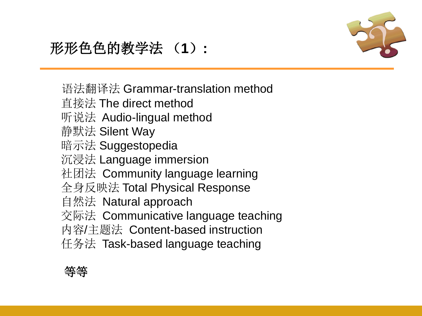

## 形形色色的教学法 (**1**)**:**

语法翻译法 Grammar-translation method

- 直接法 The direct method
- 听说法 Audio-lingual method
- 静默法 Silent Way
- 暗示法 Suggestopedia
- 沉浸法 Language immersion
- 社团法 Community language learning
- 全身反映法 Total Physical Response
- 自然法 Natural approach
- 交际法 Communicative language teaching
- 内容/主题法 Content-based instruction
- 任务法 Task-based language teaching

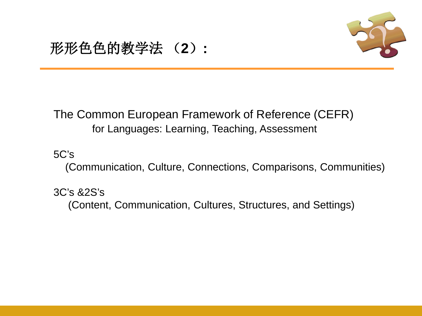

### 形形色色的教学法 (**2**)**:**

#### The Common European Framework of Reference (CEFR) for Languages: Learning, Teaching, Assessment

5C's

(Communication, Culture, Connections, Comparisons, Communities)

3C's &2S's

(Content, Communication, Cultures, Structures, and Settings)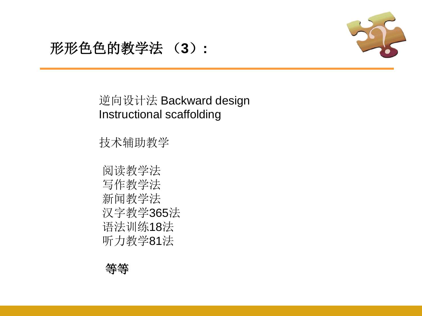

### 形形色色的教学法 (**3**)**:**

#### 逆向设计法 Backward design Instructional scaffolding

技术辅助教学

 阅读教学法 写作教学法 新闻教学法 汉字教学365法 语法训练18法 听力教学81法

等等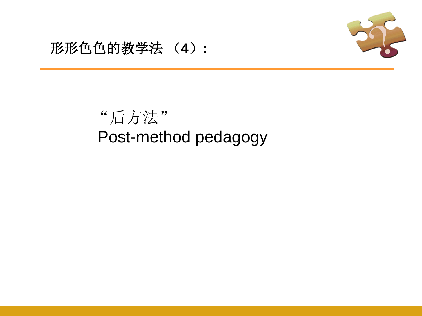

### 形形色色的教学法 (**4**)**:**

## "后方法" Post-method pedagogy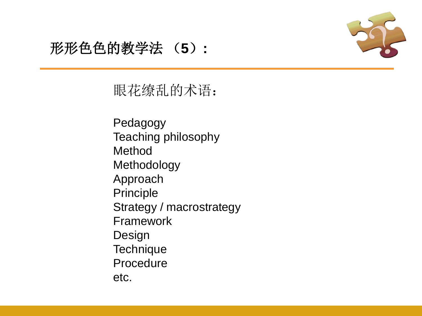

## 形形色色的教学法 (**5**)**:**

眼花缭乱的术语:

Pedagogy Teaching philosophy Method Methodology Approach Principle Strategy / macrostrategy Framework Design **Technique** Procedure etc.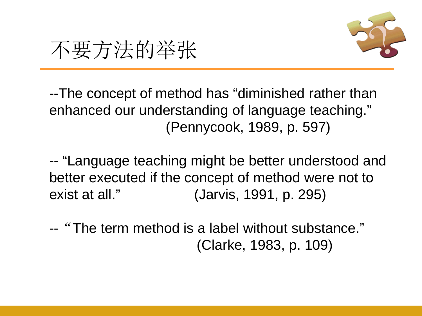

不要方法的举张

--The concept of method has "diminished rather than enhanced our understanding of language teaching." (Pennycook, 1989, p. 597)

-- "Language teaching might be better understood and better executed if the concept of method were not to exist at all." (Jarvis, 1991, p. 295)

-- "The term method is a label without substance." (Clarke, 1983, p. 109)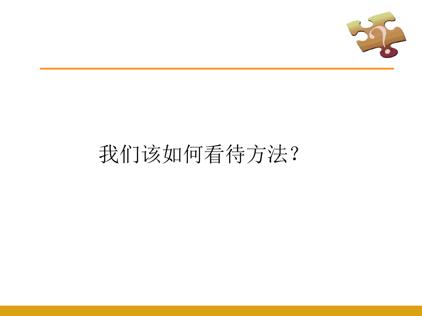

# 我们该如何看待方法?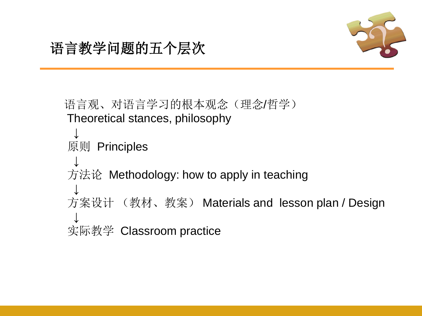

语言观、对语言学习的根本观念(理念/哲学) Theoretical stances, philosophy ↓ 原则 Principles ↓ 方法论 Methodology: how to apply in teaching ↓ 方案设计 (教材、教案) Materials and lesson plan / Design ↓ 实际教学 Classroom practice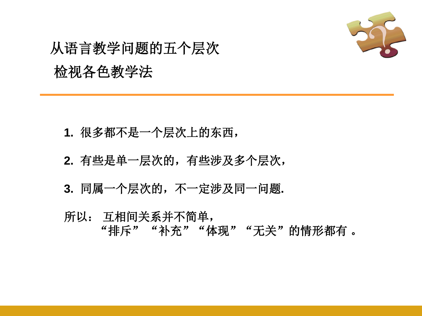

## 从语言教学问题的五个层次 检视各色教学法

- **1.** 很多都不是一个层次上的东西,
- **2.** 有些是单一层次的,有些涉及多个层次,
- **3.** 同属一个层次的,不一定涉及同一问题**.**
- 所以: 互相间关系并不简单, "排斥""补充""体现""无关"的情形都有 。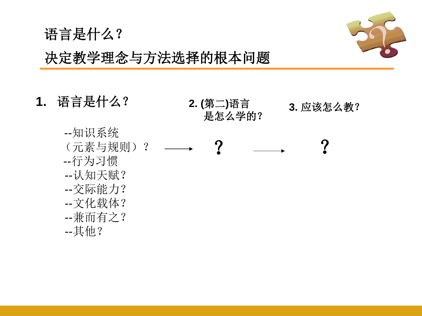

## 决定教学理念与方法选择的根本问题

**1.** 语言是什么?

--知识系统

--行为习惯

--认知天赋?

--交际能力?

--文化载体?

语言是什么?



 --兼而有之? --其他?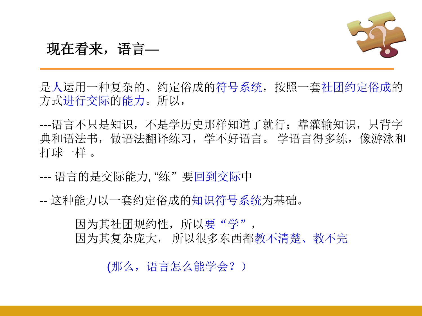

#### 现在看来,语言—

是人运用一种复杂的、约定俗成的符号系统,按照一套社团约定俗成的 方式进行交际的能力。所以,

---语言不只是知识,不是学历史那样知道了就行;靠灌输知识,只背字 典和语法书,做语法翻译练习,学不好语言。 学语言得多练,像游泳和 打球一样 。

--- 语言的是交际能力, "练"要回到交际中

-- 这种能力以一套约定俗成的知识符号系统为基础。

因为其社团规约性,所以要"学", 因为其复杂庞大, 所以很多东西都教不清楚、教不完

(那么,语言怎么能学会?)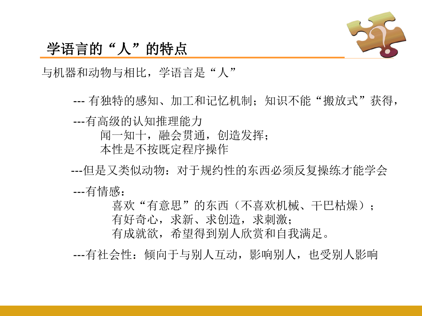

#### 学语言的"人"的特点

与机器和动物与相比,学语言是"人"

--- 有独特的感知、加工和记忆机制;知识不能"搬放式"获得,

---有高级的认知推理能力

闻一知十,融会贯通,创造发挥;

本性是不按既定程序操作

---但是又类似动物: 对于规约性的东西必须反复操练才能学会

---有情感:

喜欢"有意思"的东西(不喜欢机械、干巴枯燥); 有好奇心,求新、求创造,求刺激;

有成就欲,希望得到别人欣赏和自我满足。

---有社会性:倾向于与别人互动,影响别人,也受别人影响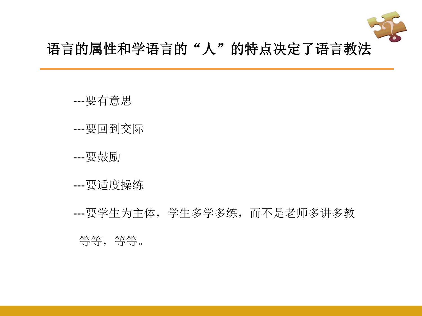

### 语言的属性和学语言的"人"的特点决定了语言教法

- ---要有意思
- ---要回到交际
- ---要鼓励
- ---要适度操练
- ---要学生为主体,学生多学多练,而不是老师多讲多教
	- 等等,等等。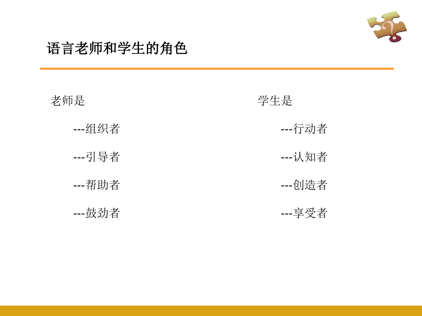

### 语言老师和学生的角色

| 老师是    | 学生是    |
|--------|--------|
| --组织者  | --行动者  |
| --引导者  | --认知者  |
| ---帮助者 | ---创造者 |
| ---鼓劲者 | ---享受者 |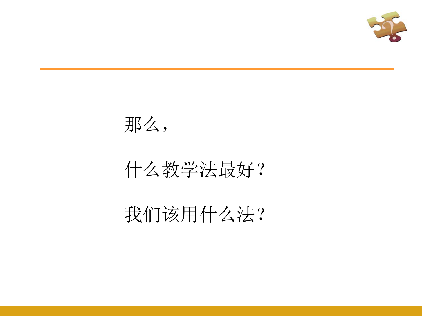



## 什么教学法最好?

## 我们该用什么法?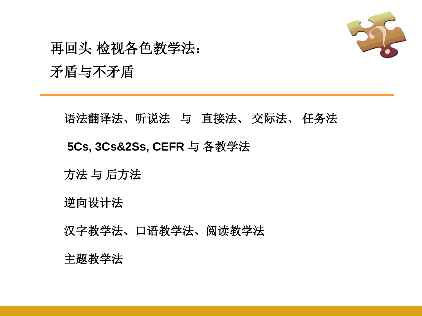

## 再回头 检视各色教学法: 矛盾与不矛盾

#### 语法翻译法、听说法与直接法、 交际法、 任务法

#### **5Cs, 3Cs&2Ss, CEFR** 与 各教学法

方法 与 后方法

逆向设计法

汉字教学法、口语教学法、阅读教学法

#### 主题教学法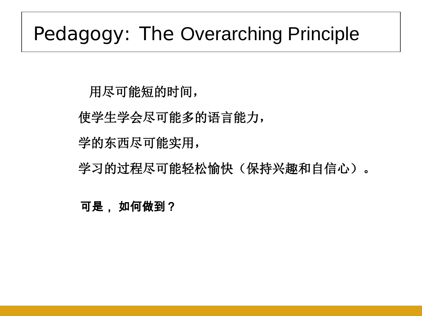## Pedagogy: The Overarching Principle

用尽可能短的时间,

使学生学会尽可能多的语言能力,

学的东西尽可能实用,

学习的过程尽可能轻松愉快(保持兴趣和自信心)。

可是, 如何做到?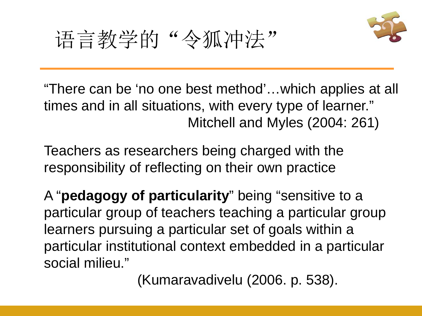



"There can be 'no one best method'…which applies at all times and in all situations, with every type of learner." Mitchell and Myles (2004: 261)

Teachers as researchers being charged with the responsibility of reflecting on their own practice

A "**pedagogy of particularity**" being "sensitive to a particular group of teachers teaching a particular group learners pursuing a particular set of goals within a particular institutional context embedded in a particular social milieu."

(Kumaravadivelu (2006. p. 538).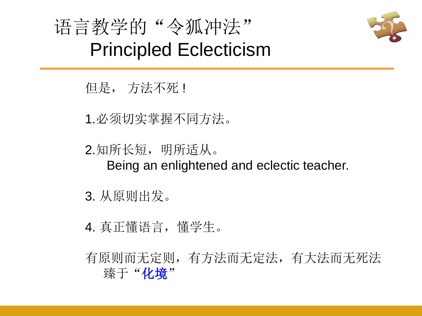



但是, 方法不死 !

1.必须切实掌握不同方法。

2.知所长短,明所适从。 Being an enlightened and eclectic teacher.

3. 从原则出发。

4. 真正懂语言,懂学生。

有原则而无定则,有方法而无定法,有大法而无死法 臻于"化境"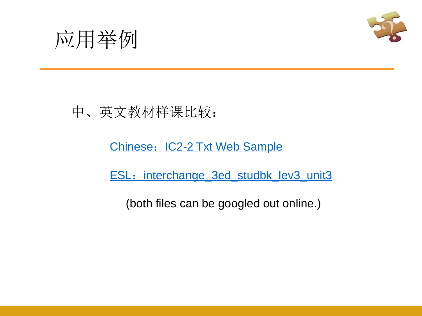



## 中、英文教材样课比较:

#### Chinese: IC2-2 Txt Web Sample

ESL: interchange 3ed studbk lev3 unit3

(both files can be googled out online.)